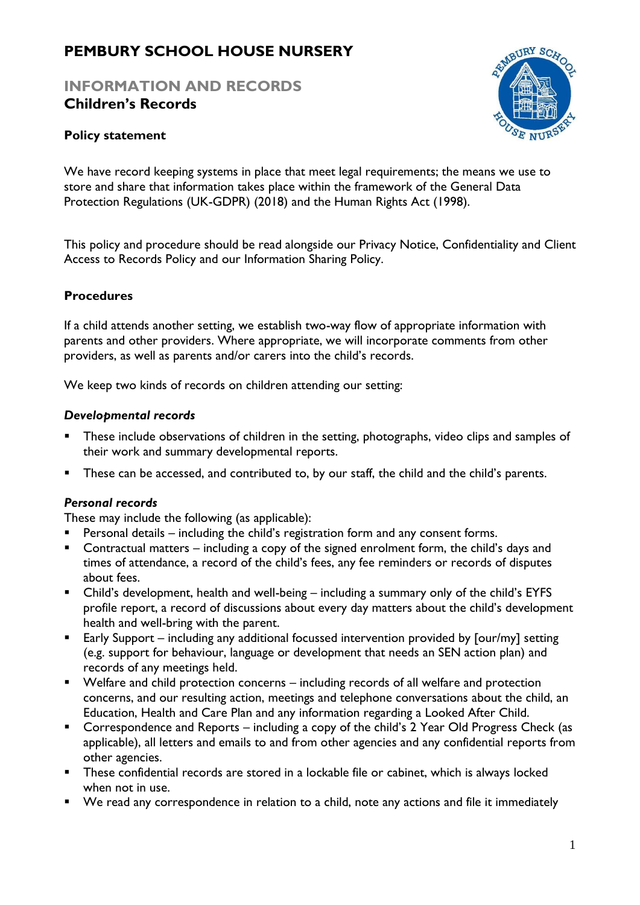# **PEMBURY SCHOOL HOUSE NURSERY**

## **INFORMATION AND RECORDS Children's Records**



## **Policy statement**

We have record keeping systems in place that meet legal requirements; the means we use to store and share that information takes place within the framework of the General Data Protection Regulations (UK-GDPR) (2018) and the Human Rights Act (1998).

This policy and procedure should be read alongside our Privacy Notice, Confidentiality and Client Access to Records Policy and our Information Sharing Policy.

#### **Procedures**

If a child attends another setting, we establish two-way flow of appropriate information with parents and other providers. Where appropriate, we will incorporate comments from other providers, as well as parents and/or carers into the child's records.

We keep two kinds of records on children attending our setting:

#### *Developmental records*

- **EXT** These include observations of children in the setting, photographs, video clips and samples of their work and summary developmental reports.
- These can be accessed, and contributed to, by our staff, the child and the child's parents.

#### *Personal records*

These may include the following (as applicable):

- Personal details including the child's registration form and any consent forms.
- Contractual matters including a copy of the signed enrolment form, the child's days and times of attendance, a record of the child's fees, any fee reminders or records of disputes about fees.
- Child's development, health and well-being including a summary only of the child's EYFS profile report, a record of discussions about every day matters about the child's development health and well-bring with the parent.
- Early Support including any additional focussed intervention provided by [our/my] setting (e.g. support for behaviour, language or development that needs an SEN action plan) and records of any meetings held.
- Welfare and child protection concerns including records of all welfare and protection concerns, and our resulting action, meetings and telephone conversations about the child, an Education, Health and Care Plan and any information regarding a Looked After Child.
- Correspondence and Reports including a copy of the child's 2 Year Old Progress Check (as applicable), all letters and emails to and from other agencies and any confidential reports from other agencies.
- **EXT** These confidential records are stored in a lockable file or cabinet, which is always locked when not in use.
- We read any correspondence in relation to a child, note any actions and file it immediately